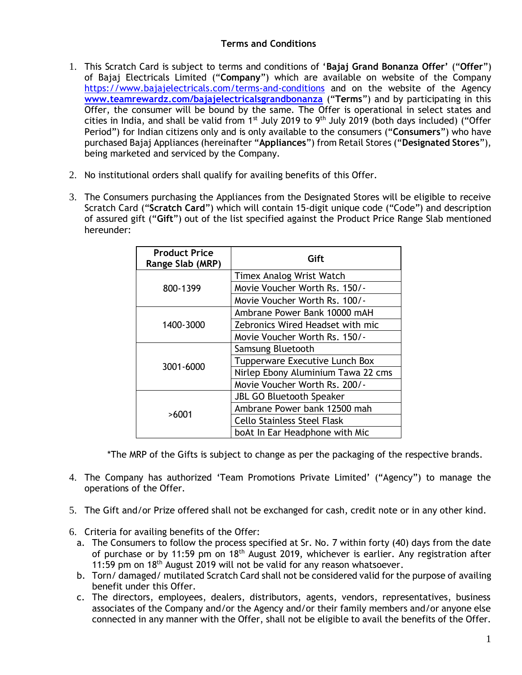## **Terms and Conditions**

- 1. This Scratch Card is subject to terms and conditions of '**Bajaj Grand Bonanza Offer'** ("**Offer**") of Bajaj Electricals Limited ("**Company**") which are available on website of the Company <https://www.bajajelectricals.com/terms-and-conditions> and on the website of the Agency **[www.teamrewardz.com/bajajelectricalsgrandbonanza](http://secure-web.cisco.com/11JlMG5ZvIHvQ-h1d_H9M9uOav5UAAEUyRD6yuz7u_fY4dTLY_kCH_Dz0eOsIuUNc50k3pKk_Lxa4Jxm5SDGcbj-DNaiYtDIQre_z2dV8ikCOAIzh7GGD2UdeZ2Ke5evofWvSqozY-BczoSKu0B98R3_mvwTP9XByDmr0VAlf-WNCEYIuzCW0JbyM7vU-Ca76ej-dbm5pojTEzPi6v0Y8-3_HNKGmOo_1u6SGh0KXRycew3wxch8uMutu7AmgVAW_D_h_usQqM-fHGNP2MNSGKm6gVvnaPrU44Fj5TKRBfp2JHTjir3f84-IN6zqzkRFdFy7P-VeGAZvHPhhEXd0MtA/http%3A%2F%2Fwww.teamrewardz.com%2Fbajajelectricalsgrandbonanza)** ("**Terms**") and by participating in this Offer, the consumer will be bound by the same. The Offer is operational in select states and cities in India, and shall be valid from  $1<sup>st</sup>$  July 2019 to 9<sup>th</sup> July 2019 (both days included) ("Offer Period") for Indian citizens only and is only available to the consumers ("**Consumers**") who have purchased Bajaj Appliances (hereinafter "**Appliances**") from Retail Stores ("**Designated Stores**"), being marketed and serviced by the Company.
- 2. No institutional orders shall qualify for availing benefits of this Offer.
- 3. The Consumers purchasing the Appliances from the Designated Stores will be eligible to receive Scratch Card ("**Scratch Card**") which will contain 15-digit unique code ("Code") and description of assured gift ("**Gift**") out of the list specified against the Product Price Range Slab mentioned hereunder:

| <b>Product Price</b><br>Range Slab (MRP) | Gift                               |
|------------------------------------------|------------------------------------|
| 800-1399                                 | <b>Timex Analog Wrist Watch</b>    |
|                                          | Movie Voucher Worth Rs. 150/-      |
|                                          | Movie Voucher Worth Rs. 100/-      |
| 1400-3000                                | Ambrane Power Bank 10000 mAH       |
|                                          | Zebronics Wired Headset with mic   |
|                                          | Movie Voucher Worth Rs. 150/-      |
| 3001-6000                                | Samsung Bluetooth                  |
|                                          | Tupperware Executive Lunch Box     |
|                                          | Nirlep Ebony Aluminium Tawa 22 cms |
|                                          | Movie Voucher Worth Rs. 200/-      |
| >6001                                    | <b>JBL GO Bluetooth Speaker</b>    |
|                                          | Ambrane Power bank 12500 mah       |
|                                          | <b>Cello Stainless Steel Flask</b> |
|                                          | boAt In Ear Headphone with Mic     |

\*The MRP of the Gifts is subject to change as per the packaging of the respective brands.

- 4. The Company has authorized 'Team Promotions Private Limited' ("Agency") to manage the operations of the Offer.
- 5. The Gift and/or Prize offered shall not be exchanged for cash, credit note or in any other kind.
- 6. Criteria for availing benefits of the Offer:
	- a. The Consumers to follow the process specified at Sr. No. 7 within forty (40) days from the date of purchase or by 11:59 pm on 18<sup>th</sup> August 2019, whichever is earlier. Any registration after 11:59 pm on  $18<sup>th</sup>$  August 2019 will not be valid for any reason whatsoever.
	- b. Torn/ damaged/ mutilated Scratch Card shall not be considered valid for the purpose of availing benefit under this Offer.
	- c. The directors, employees, dealers, distributors, agents, vendors, representatives, business associates of the Company and/or the Agency and/or their family members and/or anyone else connected in any manner with the Offer, shall not be eligible to avail the benefits of the Offer.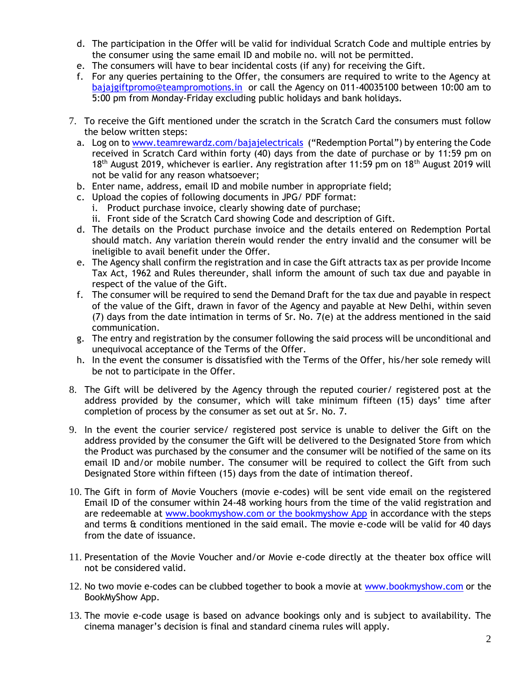- d. The participation in the Offer will be valid for individual Scratch Code and multiple entries by the consumer using the same email ID and mobile no. will not be permitted.
- e. The consumers will have to bear incidental costs (if any) for receiving the Gift.
- f. For any queries pertaining to the Offer, the consumers are required to write to the Agency at [bajajgiftpromo@teampromotions.in](mailto:bajajgiftpromo@teampromotions.in) or call the Agency on 011-40035100 between 10:00 am to 5:00 pm from Monday-Friday excluding public holidays and bank holidays.
- 7. To receive the Gift mentioned under the scratch in the Scratch Card the consumers must follow the below written steps:
	- a. Log on to [www.teamrewardz.com/bajajelectricals](http://www.teamrewardz.com/bajajelectricals) ("Redemption Portal") by entering the Code received in Scratch Card within forty (40) days from the date of purchase or by 11:59 pm on 18<sup>th</sup> August 2019, whichever is earlier. Any registration after 11:59 pm on 18<sup>th</sup> August 2019 will not be valid for any reason whatsoever;
	- b. Enter name, address, email ID and mobile number in appropriate field;
	- c. Upload the copies of following documents in JPG/ PDF format:
		- i. Product purchase invoice, clearly showing date of purchase;
		- ii. Front side of the Scratch Card showing Code and description of Gift.
	- d. The details on the Product purchase invoice and the details entered on Redemption Portal should match. Any variation therein would render the entry invalid and the consumer will be ineligible to avail benefit under the Offer.
	- e. The Agency shall confirm the registration and in case the Gift attracts tax as per provide Income Tax Act, 1962 and Rules thereunder, shall inform the amount of such tax due and payable in respect of the value of the Gift.
	- f. The consumer will be required to send the Demand Draft for the tax due and payable in respect of the value of the Gift, drawn in favor of the Agency and payable at New Delhi, within seven (7) days from the date intimation in terms of Sr. No. 7(e) at the address mentioned in the said communication.
	- g. The entry and registration by the consumer following the said process will be unconditional and unequivocal acceptance of the Terms of the Offer.
	- h. In the event the consumer is dissatisfied with the Terms of the Offer, his/her sole remedy will be not to participate in the Offer.
- 8. The Gift will be delivered by the Agency through the reputed courier/ registered post at the address provided by the consumer, which will take minimum fifteen (15) days' time after completion of process by the consumer as set out at Sr. No. 7.
- 9. In the event the courier service/ registered post service is unable to deliver the Gift on the address provided by the consumer the Gift will be delivered to the Designated Store from which the Product was purchased by the consumer and the consumer will be notified of the same on its email ID and/or mobile number. The consumer will be required to collect the Gift from such Designated Store within fifteen (15) days from the date of intimation thereof.
- 10. The Gift in form of Movie Vouchers (movie e-codes) will be sent vide email on the registered Email ID of the consumer within 24-48 working hours from the time of the valid registration and are redeemable at [www.bookmyshow.com](http://www.bookmyshow.com/) or the bookmyshow App in accordance with the steps and terms & conditions mentioned in the said email. The movie e-code will be valid for 40 days from the date of issuance.
- 11. Presentation of the Movie Voucher and/or Movie e-code directly at the theater box office will not be considered valid.
- 12. No two movie e-codes can be clubbed together to book a movie at [www.bookmyshow.com](http://www.bookmyshow.com/) or the BookMyShow App.
- 13. The movie e-code usage is based on advance bookings only and is subject to availability. The cinema manager's decision is final and standard cinema rules will apply.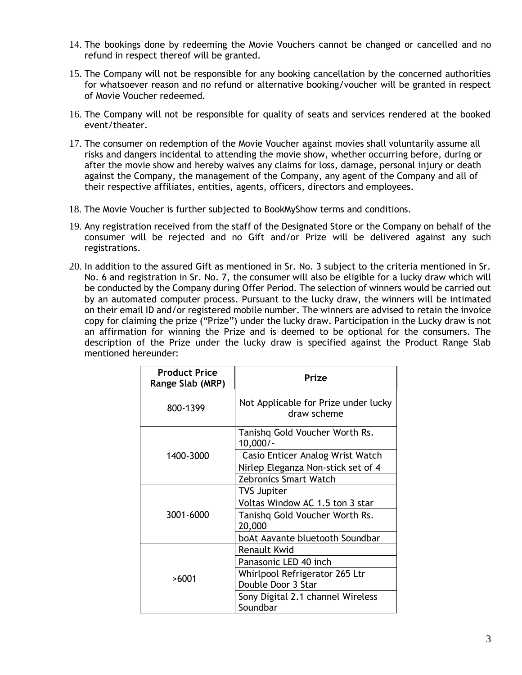- 14. The bookings done by redeeming the Movie Vouchers cannot be changed or cancelled and no refund in respect thereof will be granted.
- 15. The Company will not be responsible for any booking cancellation by the concerned authorities for whatsoever reason and no refund or alternative booking/voucher will be granted in respect of Movie Voucher redeemed.
- 16. The Company will not be responsible for quality of seats and services rendered at the booked event/theater.
- 17. The consumer on redemption of the Movie Voucher against movies shall voluntarily assume all risks and dangers incidental to attending the movie show, whether occurring before, during or after the movie show and hereby waives any claims for loss, damage, personal injury or death against the Company, the management of the Company, any agent of the Company and all of their respective affiliates, entities, agents, officers, directors and employees.
- 18. The Movie Voucher is further subjected to BookMyShow terms and conditions.
- 19. Any registration received from the staff of the Designated Store or the Company on behalf of the consumer will be rejected and no Gift and/or Prize will be delivered against any such registrations.
- 20. In addition to the assured Gift as mentioned in Sr. No. 3 subject to the criteria mentioned in Sr. No. 6 and registration in Sr. No. 7, the consumer will also be eligible for a lucky draw which will be conducted by the Company during Offer Period. The selection of winners would be carried out by an automated computer process. Pursuant to the lucky draw, the winners will be intimated on their email ID and/or registered mobile number. The winners are advised to retain the invoice copy for claiming the prize ("Prize") under the lucky draw. Participation in the Lucky draw is not an affirmation for winning the Prize and is deemed to be optional for the consumers. The description of the Prize under the lucky draw is specified against the Product Range Slab mentioned hereunder:

| <b>Product Price</b><br>Range Slab (MRP) | Prize                                               |
|------------------------------------------|-----------------------------------------------------|
| 800-1399                                 | Not Applicable for Prize under lucky<br>draw scheme |
| 1400-3000                                | Tanishq Gold Voucher Worth Rs.<br>$10,000/-$        |
|                                          | Casio Enticer Analog Wrist Watch                    |
|                                          | Nirlep Eleganza Non-stick set of 4                  |
|                                          | <b>Zebronics Smart Watch</b>                        |
| 3001-6000                                | <b>TVS Jupiter</b>                                  |
|                                          | Voltas Window AC 1.5 ton 3 star                     |
|                                          | Tanishq Gold Voucher Worth Rs.<br>20,000            |
|                                          | boAt Aavante bluetooth Soundbar                     |
| >6001                                    | Renault Kwid                                        |
|                                          | Panasonic LED 40 inch                               |
|                                          | Whirlpool Refrigerator 265 Ltr                      |
|                                          | Double Door 3 Star                                  |
|                                          | Sony Digital 2.1 channel Wireless<br>Soundbar       |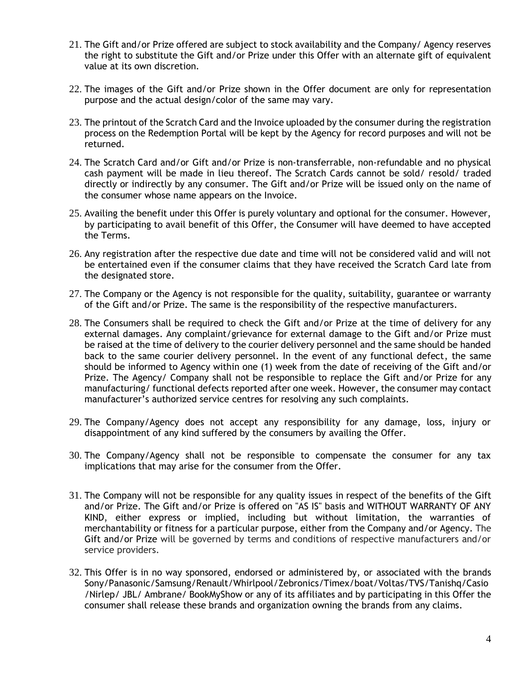- 21. The Gift and/or Prize offered are subject to stock availability and the Company/ Agency reserves the right to substitute the Gift and/or Prize under this Offer with an alternate gift of equivalent value at its own discretion.
- 22. The images of the Gift and/or Prize shown in the Offer document are only for representation purpose and the actual design/color of the same may vary.
- 23. The printout of the Scratch Card and the Invoice uploaded by the consumer during the registration process on the Redemption Portal will be kept by the Agency for record purposes and will not be returned.
- 24. The Scratch Card and/or Gift and/or Prize is non-transferrable, non-refundable and no physical cash payment will be made in lieu thereof. The Scratch Cards cannot be sold/ resold/ traded directly or indirectly by any consumer. The Gift and/or Prize will be issued only on the name of the consumer whose name appears on the Invoice.
- 25. Availing the benefit under this Offer is purely voluntary and optional for the consumer. However, by participating to avail benefit of this Offer, the Consumer will have deemed to have accepted the Terms.
- 26. Any registration after the respective due date and time will not be considered valid and will not be entertained even if the consumer claims that they have received the Scratch Card late from the designated store.
- 27. The Company or the Agency is not responsible for the quality, suitability, guarantee or warranty of the Gift and/or Prize. The same is the responsibility of the respective manufacturers.
- 28. The Consumers shall be required to check the Gift and/or Prize at the time of delivery for any external damages. Any complaint/grievance for external damage to the Gift and/or Prize must be raised at the time of delivery to the courier delivery personnel and the same should be handed back to the same courier delivery personnel. In the event of any functional defect, the same should be informed to Agency within one (1) week from the date of receiving of the Gift and/or Prize. The Agency/ Company shall not be responsible to replace the Gift and/or Prize for any manufacturing/ functional defects reported after one week. However, the consumer may contact manufacturer's authorized service centres for resolving any such complaints.
- 29. The Company/Agency does not accept any responsibility for any damage, loss, injury or disappointment of any kind suffered by the consumers by availing the Offer.
- 30. The Company/Agency shall not be responsible to compensate the consumer for any tax implications that may arise for the consumer from the Offer.
- 31. The Company will not be responsible for any quality issues in respect of the benefits of the Gift and/or Prize. The Gift and/or Prize is offered on "AS IS" basis and WITHOUT WARRANTY OF ANY KIND, either express or implied, including but without limitation, the warranties of merchantability or fitness for a particular purpose, either from the Company and/or Agency. The Gift and/or Prize will be governed by terms and conditions of respective manufacturers and/or service providers.
- 32. This Offer is in no way sponsored, endorsed or administered by, or associated with the brands Sony/Panasonic/Samsung/Renault/Whirlpool/Zebronics/Timex/boat/Voltas/TVS/Tanishq/Casio /Nirlep/ JBL/ Ambrane/ BookMyShow or any of its affiliates and by participating in this Offer the consumer shall release these brands and organization owning the brands from any claims.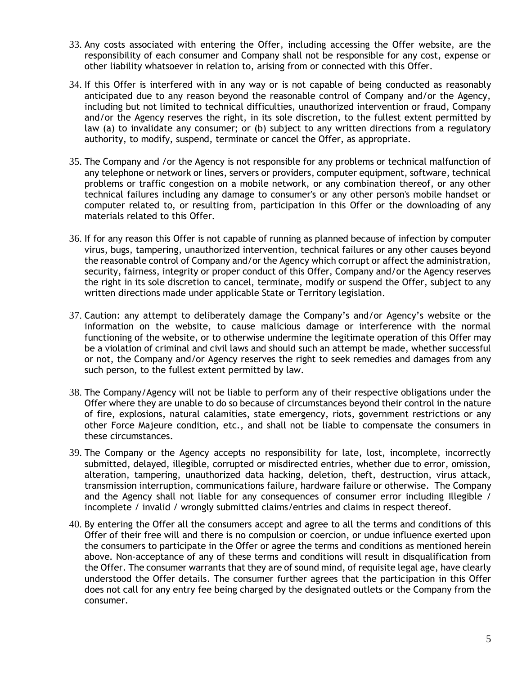- 33. Any costs associated with entering the Offer, including accessing the Offer website, are the responsibility of each consumer and Company shall not be responsible for any cost, expense or other liability whatsoever in relation to, arising from or connected with this Offer.
- 34. If this Offer is interfered with in any way or is not capable of being conducted as reasonably anticipated due to any reason beyond the reasonable control of Company and/or the Agency, including but not limited to technical difficulties, unauthorized intervention or fraud, Company and/or the Agency reserves the right, in its sole discretion, to the fullest extent permitted by law (a) to invalidate any consumer; or (b) subject to any written directions from a regulatory authority, to modify, suspend, terminate or cancel the Offer, as appropriate.
- 35. The Company and /or the Agency is not responsible for any problems or technical malfunction of any telephone or network or lines, servers or providers, computer equipment, software, technical problems or traffic congestion on a mobile network, or any combination thereof, or any other technical failures including any damage to consumer's or any other person's mobile handset or computer related to, or resulting from, participation in this Offer or the downloading of any materials related to this Offer.
- 36. If for any reason this Offer is not capable of running as planned because of infection by computer virus, bugs, tampering, unauthorized intervention, technical failures or any other causes beyond the reasonable control of Company and/or the Agency which corrupt or affect the administration, security, fairness, integrity or proper conduct of this Offer, Company and/or the Agency reserves the right in its sole discretion to cancel, terminate, modify or suspend the Offer, subject to any written directions made under applicable State or Territory legislation.
- 37. Caution: any attempt to deliberately damage the Company's and/or Agency's website or the information on the website, to cause malicious damage or interference with the normal functioning of the website, or to otherwise undermine the legitimate operation of this Offer may be a violation of criminal and civil laws and should such an attempt be made, whether successful or not, the Company and/or Agency reserves the right to seek remedies and damages from any such person, to the fullest extent permitted by law.
- 38. The Company/Agency will not be liable to perform any of their respective obligations under the Offer where they are unable to do so because of circumstances beyond their control in the nature of fire, explosions, natural calamities, state emergency, riots, government restrictions or any other Force Majeure condition, etc., and shall not be liable to compensate the consumers in these circumstances.
- 39. The Company or the Agency accepts no responsibility for late, lost, incomplete, incorrectly submitted, delayed, illegible, corrupted or misdirected entries, whether due to error, omission, alteration, tampering, unauthorized data hacking, deletion, theft, destruction, virus attack, transmission interruption, communications failure, hardware failure or otherwise. The Company and the Agency shall not liable for any consequences of consumer error including Illegible / incomplete / invalid / wrongly submitted claims/entries and claims in respect thereof.
- 40. By entering the Offer all the consumers accept and agree to all the terms and conditions of this Offer of their free will and there is no compulsion or coercion, or undue influence exerted upon the consumers to participate in the Offer or agree the terms and conditions as mentioned herein above. Non-acceptance of any of these terms and conditions will result in disqualification from the Offer. The consumer warrants that they are of sound mind, of requisite legal age, have clearly understood the Offer details. The consumer further agrees that the participation in this Offer does not call for any entry fee being charged by the designated outlets or the Company from the consumer.